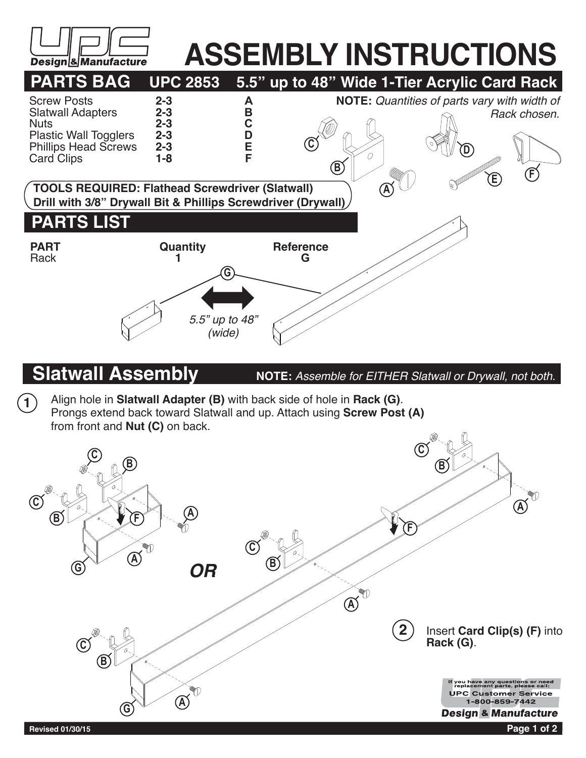

## **ASSEMBLY INSTRUCTIONS**<br>UPC 2853 5.5" up to 48" Wide 1-Tier Acrylic Card Rack



## **Slatwall Assembly**

**NOTE:** *Assemble for EITHER Slatwall or Drywall, not both.*

**1** Align hole in **Slatwall Adapter (B)** with back side of hole in **Rack (G)**. Prongs extend back toward Slatwall and up. Attach using **Screw Post (A)**  from front and **Nut (C)** on back.